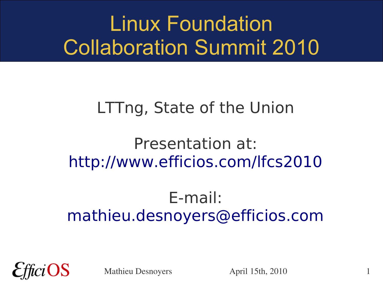#### Linux Foundation Collaboration Summit 2010

#### LTTng, State of the Union

#### Presentation at: <http://www.efficios.com/lfcs2010>

#### E-mail: [mathieu.desnoyers@efficios.com](mailto:mathieu.desnoyers@efficios.com)



Mathieu Desnoyers April 15th, 2010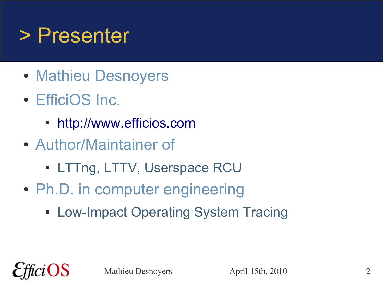#### > Presenter

- Mathieu Desnoyers
- EfficiOS Inc.
	- [http://www.efficios.com](http://www.efficios.com/)
- Author/Maintainer of
	- LTTng, LTTV, Userspace RCU
- Ph.D. in computer engineering
	- Low-Impact Operating System Tracing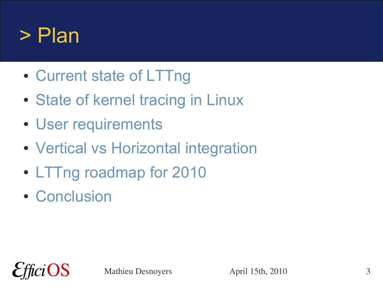#### > Plan

- Current state of LTTng
- State of kernel tracing in Linux
- User requirements
- Vertical vs Horizontal integration
- LTTng roadmap for 2010
- Conclusion

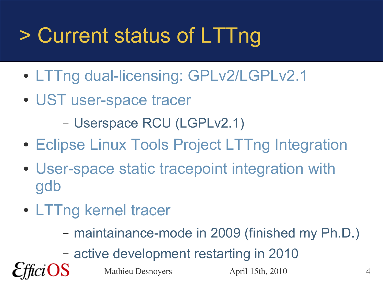# > Current status of LTTng

- LTTng dual-licensing: GPLv2/LGPLv2.1
- UST user-space tracer

– Userspace RCU (LGPLv2.1)

- Eclipse Linux Tools Project LTTng Integration
- User-space static tracepoint integration with gdb
- LTTng kernel tracer
	- maintainance-mode in 2009 (finished my Ph.D.)

– active development restarting in 2010

Mathieu Desnoyers April 15th, 2010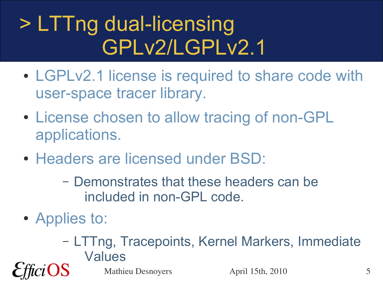### > LTTng dual-licensing GPLv2/LGPLv2.1

- LGPLv2.1 license is required to share code with user-space tracer library.
- License chosen to allow tracing of non-GPL applications.
- Headers are licensed under BSD:
	- Demonstrates that these headers can be included in non-GPL code.
- Applies to:
	- LTTng, Tracepoints, Kernel Markers, Immediate Values

Mathieu Desnoyers April 15th, 2010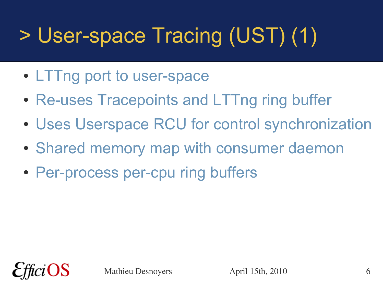# > User-space Tracing (UST) (1)

- LTTng port to user-space
- Re-uses Tracepoints and LTTng ring buffer
- Uses Userspace RCU for control synchronization
- Shared memory map with consumer daemon
- Per-process per-cpu ring buffers

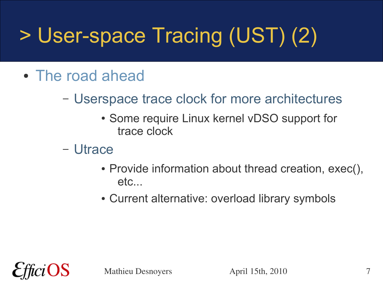# > User-space Tracing (UST) (2)

- The road ahead
	- Userspace trace clock for more architectures
		- Some require Linux kernel vDSO support for trace clock
	- Utrace
		- Provide information about thread creation, exec(), etc...
		- Current alternative: overload library symbols



Mathieu Desnoyers **April 15th, 2010** 7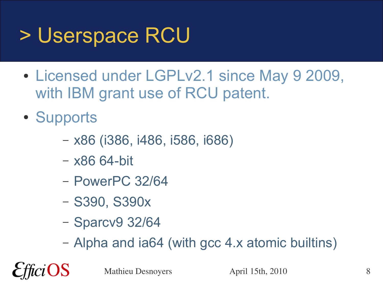### > Userspace RCU

- Licensed under LGPLv2.1 since May 9 2009, with IBM grant use of RCU patent.
- Supports

OS

- x86 (i386, i486, i586, i686)
- x86 64-bit
- PowerPC 32/64
- S390, S390x
- Sparcv9 32/64
- Alpha and ia64 (with gcc 4.x atomic builtins)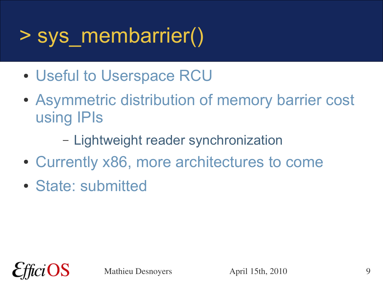#### > sys\_membarrier()

- Useful to Userspace RCU
- Asymmetric distribution of memory barrier cost using IPIs
	- Lightweight reader synchronization
- Currently x86, more architectures to come
- State: submitted

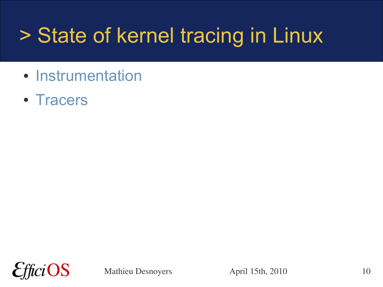### > State of kernel tracing in Linux

- Instrumentation
- Tracers

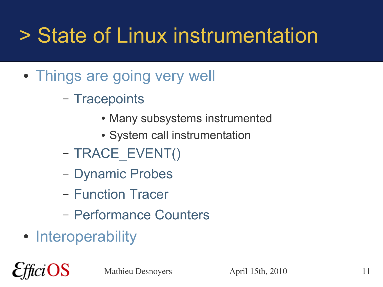## > State of Linux instrumentation

- Things are going very well
	- Tracepoints
		- Many subsystems instrumented
		- System call instrumentation
	- TRACE\_EVENT()
	- Dynamic Probes
	- Function Tracer
	- Performance Counters
- Interoperability

iOS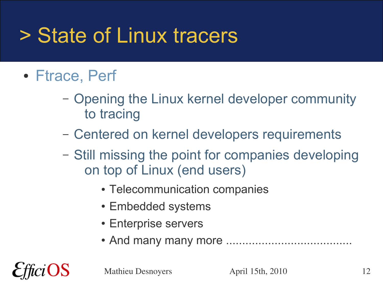#### > State of Linux tracers

- Ftrace, Perf
	- Opening the Linux kernel developer community to tracing
	- Centered on kernel developers requirements
	- Still missing the point for companies developing on top of Linux (end users)
		- Telecommunication companies
		- Embedded systems
		- Enterprise servers
		- And many many more .......................................



Mathieu Desnoyers April 15th, 2010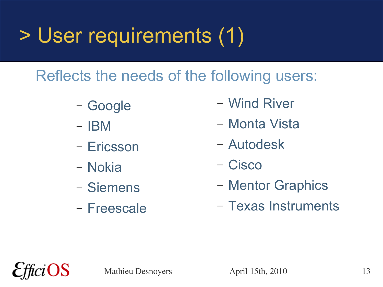### > User requirements (1)

Reflects the needs of the following users:

- Google
- IBM
- Ericsson
- Nokia
- Siemens
- Freescale
- Wind River
- Monta Vista
- Autodesk
- Cisco
- Mentor Graphics
- Texas Instruments

OS

Mathieu Desnoyers April 15th, 2010 13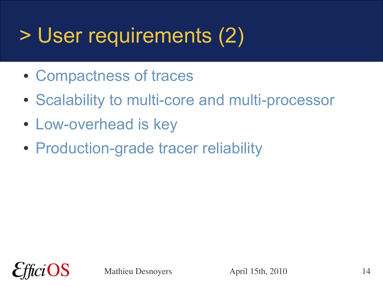## > User requirements (2)

- Compactness of traces
- Scalability to multi-core and multi-processor
- Low-overhead is key
- Production-grade tracer reliability

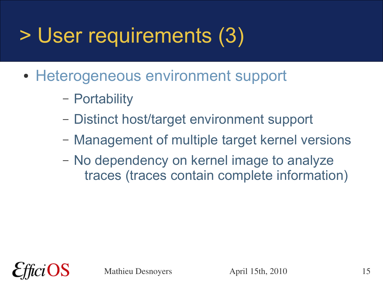## > User requirements (3)

- Heterogeneous environment support
	- Portability
	- Distinct host/target environment support
	- Management of multiple target kernel versions
	- No dependency on kernel image to analyze traces (traces contain complete information)

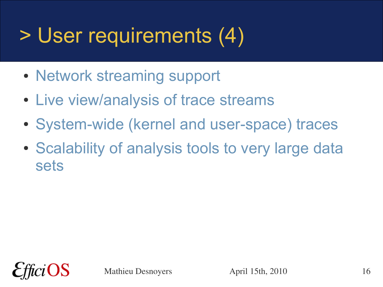## > User requirements (4)

- Network streaming support
- Live view/analysis of trace streams
- System-wide (kernel and user-space) traces
- Scalability of analysis tools to very large data sets

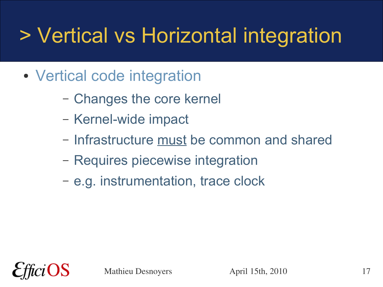## > Vertical vs Horizontal integration

- Vertical code integration
	- Changes the core kernel
	- Kernel-wide impact
	- Infrastructure must be common and shared
	- Requires piecewise integration
	- e.g. instrumentation, trace clock

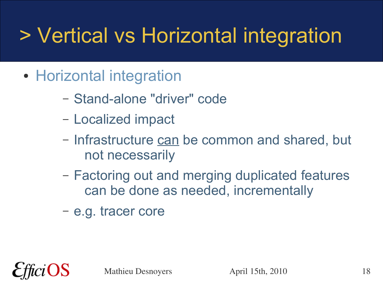## > Vertical vs Horizontal integration

- Horizontal integration
	- Stand-alone "driver" code
	- Localized impact
	- Infrastructure can be common and shared, but not necessarily
	- Factoring out and merging duplicated features can be done as needed, incrementally
	- e.g. tracer core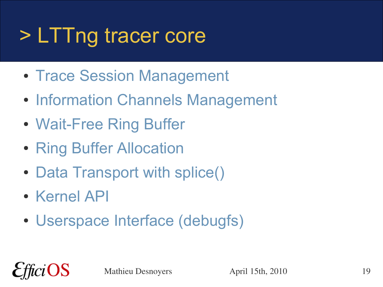## > LTTng tracer core

- Trace Session Management
- Information Channels Management
- Wait-Free Ring Buffer
- Ring Buffer Allocation
- Data Transport with splice()
- Kernel API

 $iOS$ 

• Userspace Interface (debugfs)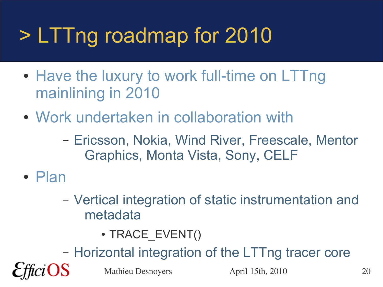## > LTTng roadmap for 2010

- Have the luxury to work full-time on LTTng mainlining in 2010
- Work undertaken in collaboration with
	- Ericsson, Nokia, Wind River, Freescale, Mentor Graphics, Monta Vista, Sony, CELF
- Plan

OS

- Vertical integration of static instrumentation and metadata
	- TRACE EVENT()
- Horizontal integration of the LTTng tracer core

Mathieu Desnoyers April 15th, 2010 20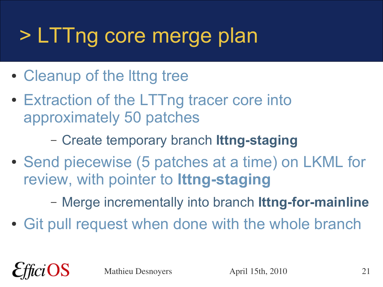## > LTTng core merge plan

- Cleanup of the lttng tree
- Extraction of the LTTng tracer core into approximately 50 patches
	- Create temporary branch **lttng-staging**
- Send piecewise (5 patches at a time) on LKML for review, with pointer to **lttng-staging**
	- Merge incrementally into branch **lttng-for-mainline**
- Git pull request when done with the whole branch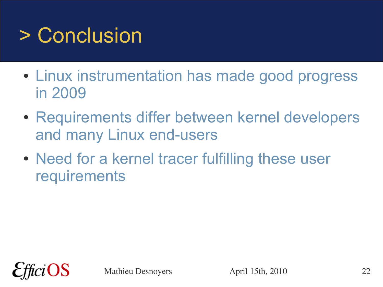## > Conclusion

- Linux instrumentation has made good progress in 2009
- Requirements differ between kernel developers and many Linux end-users
- Need for a kernel tracer fulfilling these user requirements